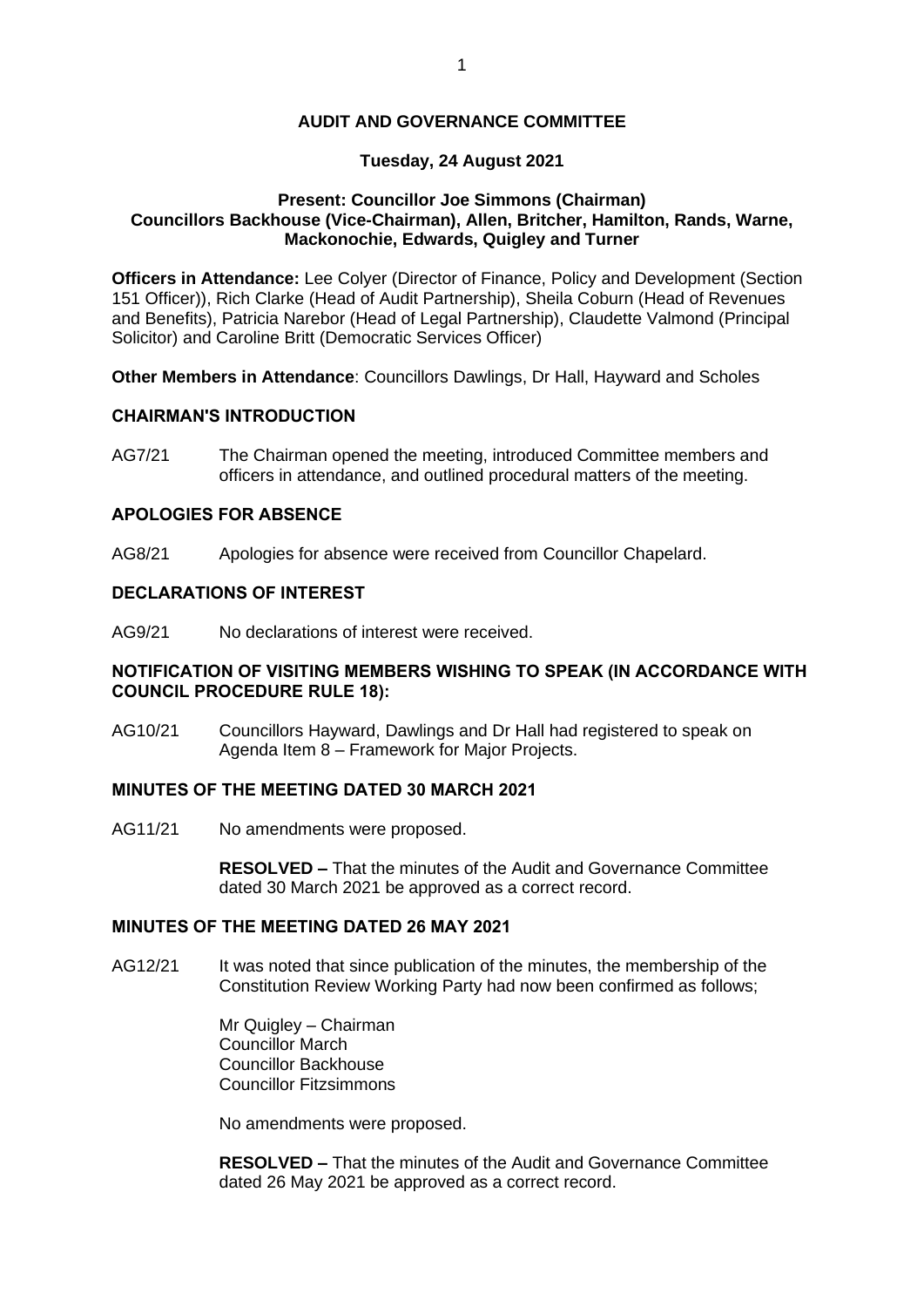### **AUDIT AND GOVERNANCE COMMITTEE**

# **Tuesday, 24 August 2021**

### **Present: Councillor Joe Simmons (Chairman) Councillors Backhouse (Vice-Chairman), Allen, Britcher, Hamilton, Rands, Warne, Mackonochie, Edwards, Quigley and Turner**

**Officers in Attendance:** Lee Colyer (Director of Finance, Policy and Development (Section 151 Officer)), Rich Clarke (Head of Audit Partnership), Sheila Coburn (Head of Revenues and Benefits), Patricia Narebor (Head of Legal Partnership), Claudette Valmond (Principal Solicitor) and Caroline Britt (Democratic Services Officer)

**Other Members in Attendance**: Councillors Dawlings, Dr Hall, Hayward and Scholes

# **CHAIRMAN'S INTRODUCTION**

AG7/21 The Chairman opened the meeting, introduced Committee members and officers in attendance, and outlined procedural matters of the meeting.

# **APOLOGIES FOR ABSENCE**

AG8/21 Apologies for absence were received from Councillor Chapelard.

# **DECLARATIONS OF INTEREST**

AG9/21 No declarations of interest were received.

# **NOTIFICATION OF VISITING MEMBERS WISHING TO SPEAK (IN ACCORDANCE WITH COUNCIL PROCEDURE RULE 18):**

AG10/21 Councillors Hayward, Dawlings and Dr Hall had registered to speak on Agenda Item 8 – Framework for Major Projects.

# **MINUTES OF THE MEETING DATED 30 MARCH 2021**

AG11/21 No amendments were proposed.

**RESOLVED –** That the minutes of the Audit and Governance Committee dated 30 March 2021 be approved as a correct record.

# **MINUTES OF THE MEETING DATED 26 MAY 2021**

AG12/21 It was noted that since publication of the minutes, the membership of the Constitution Review Working Party had now been confirmed as follows;

> Mr Quigley – Chairman Councillor March Councillor Backhouse Councillor Fitzsimmons

No amendments were proposed.

**RESOLVED –** That the minutes of the Audit and Governance Committee dated 26 May 2021 be approved as a correct record.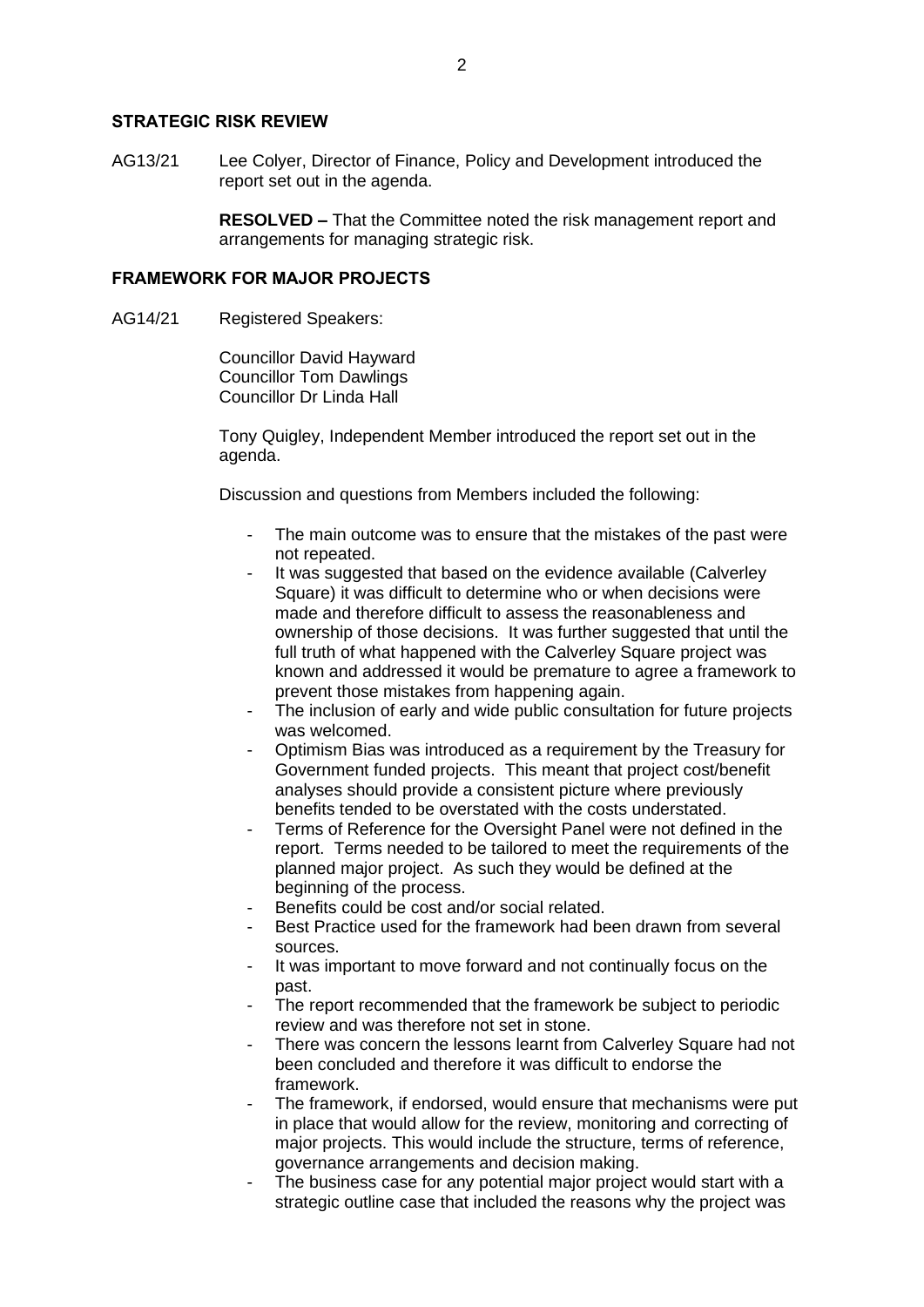#### **STRATEGIC RISK REVIEW**

AG13/21 Lee Colyer, Director of Finance, Policy and Development introduced the report set out in the agenda.

> **RESOLVED –** That the Committee noted the risk management report and arrangements for managing strategic risk.

#### **FRAMEWORK FOR MAJOR PROJECTS**

AG14/21 Registered Speakers:

Councillor David Hayward Councillor Tom Dawlings Councillor Dr Linda Hall

Tony Quigley, Independent Member introduced the report set out in the agenda.

Discussion and questions from Members included the following:

- The main outcome was to ensure that the mistakes of the past were not repeated.
- It was suggested that based on the evidence available (Calverley Square) it was difficult to determine who or when decisions were made and therefore difficult to assess the reasonableness and ownership of those decisions. It was further suggested that until the full truth of what happened with the Calverley Square project was known and addressed it would be premature to agree a framework to prevent those mistakes from happening again.
- The inclusion of early and wide public consultation for future projects was welcomed.
- Optimism Bias was introduced as a requirement by the Treasury for Government funded projects. This meant that project cost/benefit analyses should provide a consistent picture where previously benefits tended to be overstated with the costs understated.
- Terms of Reference for the Oversight Panel were not defined in the report. Terms needed to be tailored to meet the requirements of the planned major project. As such they would be defined at the beginning of the process.
- Benefits could be cost and/or social related.
- Best Practice used for the framework had been drawn from several sources.
- It was important to move forward and not continually focus on the past.
- The report recommended that the framework be subject to periodic review and was therefore not set in stone.
- There was concern the lessons learnt from Calverley Square had not been concluded and therefore it was difficult to endorse the framework.
- The framework, if endorsed, would ensure that mechanisms were put in place that would allow for the review, monitoring and correcting of major projects. This would include the structure, terms of reference, governance arrangements and decision making.
- The business case for any potential major project would start with a strategic outline case that included the reasons why the project was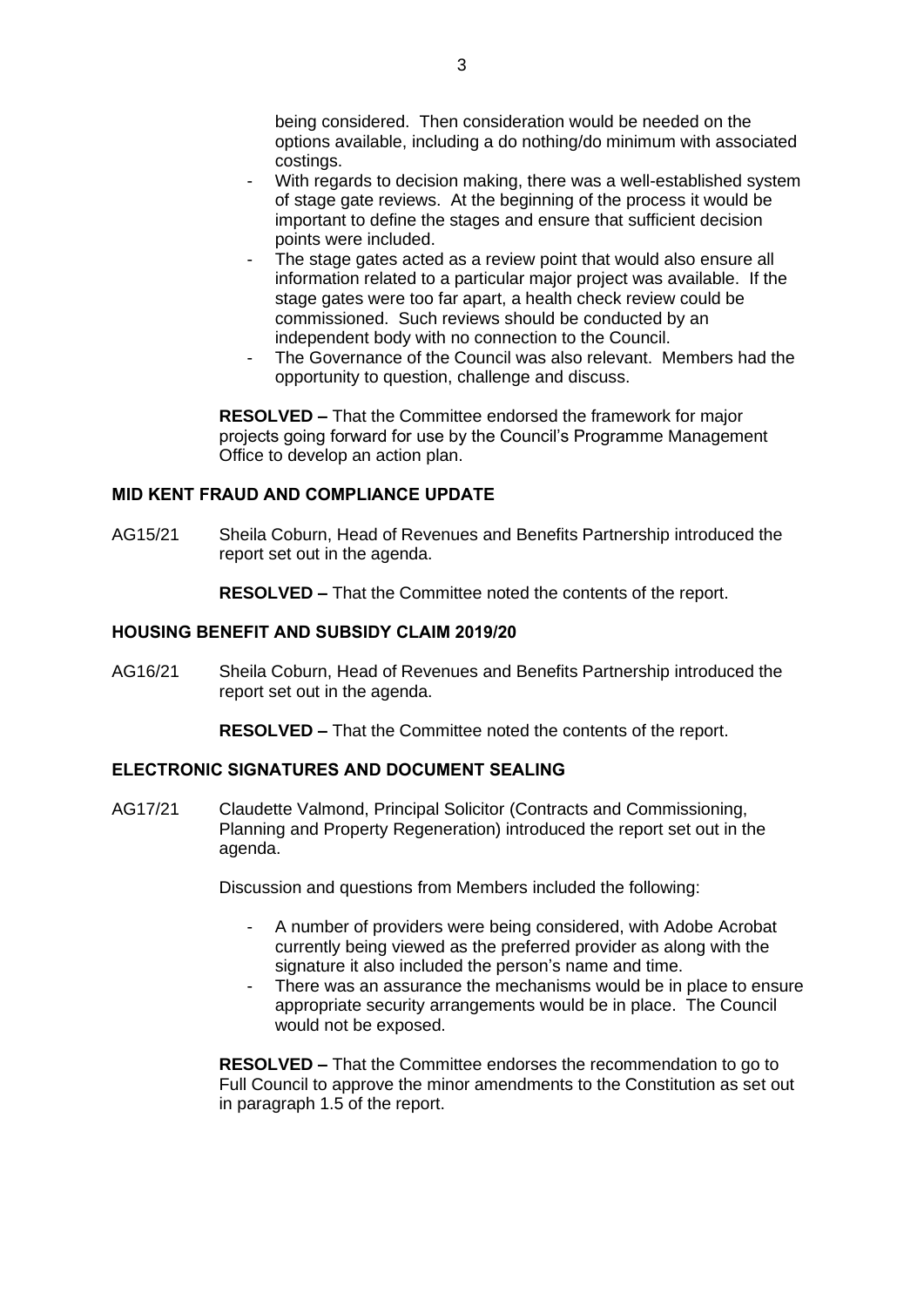being considered. Then consideration would be needed on the options available, including a do nothing/do minimum with associated costings.

- With regards to decision making, there was a well-established system of stage gate reviews. At the beginning of the process it would be important to define the stages and ensure that sufficient decision points were included.
- The stage gates acted as a review point that would also ensure all information related to a particular major project was available. If the stage gates were too far apart, a health check review could be commissioned. Such reviews should be conducted by an independent body with no connection to the Council.
- The Governance of the Council was also relevant. Members had the opportunity to question, challenge and discuss.

**RESOLVED –** That the Committee endorsed the framework for major projects going forward for use by the Council's Programme Management Office to develop an action plan.

# **MID KENT FRAUD AND COMPLIANCE UPDATE**

AG15/21 Sheila Coburn, Head of Revenues and Benefits Partnership introduced the report set out in the agenda.

**RESOLVED –** That the Committee noted the contents of the report.

# **HOUSING BENEFIT AND SUBSIDY CLAIM 2019/20**

AG16/21 Sheila Coburn, Head of Revenues and Benefits Partnership introduced the report set out in the agenda.

**RESOLVED –** That the Committee noted the contents of the report.

# **ELECTRONIC SIGNATURES AND DOCUMENT SEALING**

AG17/21 Claudette Valmond, Principal Solicitor (Contracts and Commissioning, Planning and Property Regeneration) introduced the report set out in the agenda.

Discussion and questions from Members included the following:

- A number of providers were being considered, with Adobe Acrobat currently being viewed as the preferred provider as along with the signature it also included the person's name and time.
- There was an assurance the mechanisms would be in place to ensure appropriate security arrangements would be in place. The Council would not be exposed.

**RESOLVED –** That the Committee endorses the recommendation to go to Full Council to approve the minor amendments to the Constitution as set out in paragraph 1.5 of the report.